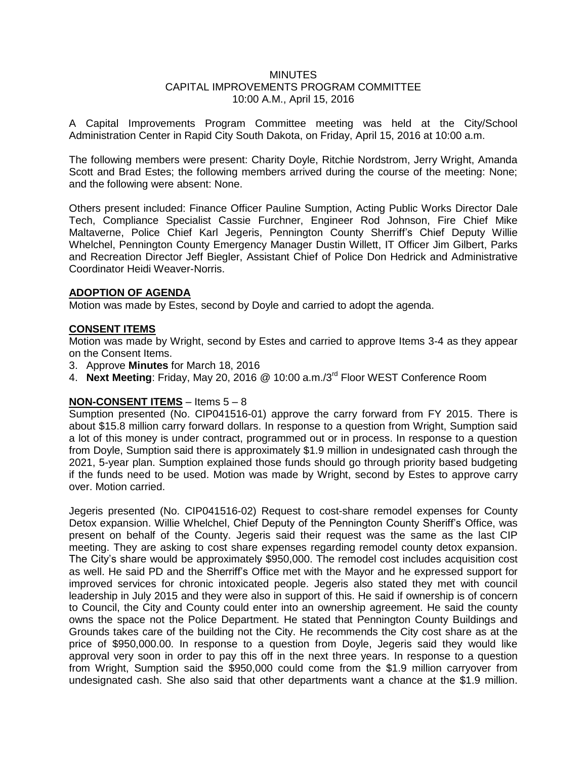#### MINUTES CAPITAL IMPROVEMENTS PROGRAM COMMITTEE 10:00 A.M., April 15, 2016

A Capital Improvements Program Committee meeting was held at the City/School Administration Center in Rapid City South Dakota, on Friday, April 15, 2016 at 10:00 a.m.

The following members were present: Charity Doyle, Ritchie Nordstrom, Jerry Wright, Amanda Scott and Brad Estes; the following members arrived during the course of the meeting: None; and the following were absent: None.

Others present included: Finance Officer Pauline Sumption, Acting Public Works Director Dale Tech, Compliance Specialist Cassie Furchner, Engineer Rod Johnson, Fire Chief Mike Maltaverne, Police Chief Karl Jegeris, Pennington County Sherriff's Chief Deputy Willie Whelchel, Pennington County Emergency Manager Dustin Willett, IT Officer Jim Gilbert, Parks and Recreation Director Jeff Biegler, Assistant Chief of Police Don Hedrick and Administrative Coordinator Heidi Weaver-Norris.

## **ADOPTION OF AGENDA**

Motion was made by Estes, second by Doyle and carried to adopt the agenda.

## **CONSENT ITEMS**

Motion was made by Wright, second by Estes and carried to approve Items 3-4 as they appear on the Consent Items.

- 3. Approve **Minutes** for March 18, 2016
- 4. **Next Meeting**: Friday, May 20, 2016 @ 10:00 a.m./3<sup>rd</sup> Floor WEST Conference Room

# **NON-CONSENT ITEMS** – Items 5 – 8

Sumption presented (No. CIP041516-01) approve the carry forward from FY 2015. There is about \$15.8 million carry forward dollars. In response to a question from Wright, Sumption said a lot of this money is under contract, programmed out or in process. In response to a question from Doyle, Sumption said there is approximately \$1.9 million in undesignated cash through the 2021, 5-year plan. Sumption explained those funds should go through priority based budgeting if the funds need to be used. Motion was made by Wright, second by Estes to approve carry over. Motion carried.

Jegeris presented (No. CIP041516-02) Request to cost-share remodel expenses for County Detox expansion. Willie Whelchel, Chief Deputy of the Pennington County Sheriff's Office, was present on behalf of the County. Jegeris said their request was the same as the last CIP meeting. They are asking to cost share expenses regarding remodel county detox expansion. The City's share would be approximately \$950,000. The remodel cost includes acquisition cost as well. He said PD and the Sherriff's Office met with the Mayor and he expressed support for improved services for chronic intoxicated people. Jegeris also stated they met with council leadership in July 2015 and they were also in support of this. He said if ownership is of concern to Council, the City and County could enter into an ownership agreement. He said the county owns the space not the Police Department. He stated that Pennington County Buildings and Grounds takes care of the building not the City. He recommends the City cost share as at the price of \$950,000.00. In response to a question from Doyle, Jegeris said they would like approval very soon in order to pay this off in the next three years. In response to a question from Wright, Sumption said the \$950,000 could come from the \$1.9 million carryover from undesignated cash. She also said that other departments want a chance at the \$1.9 million.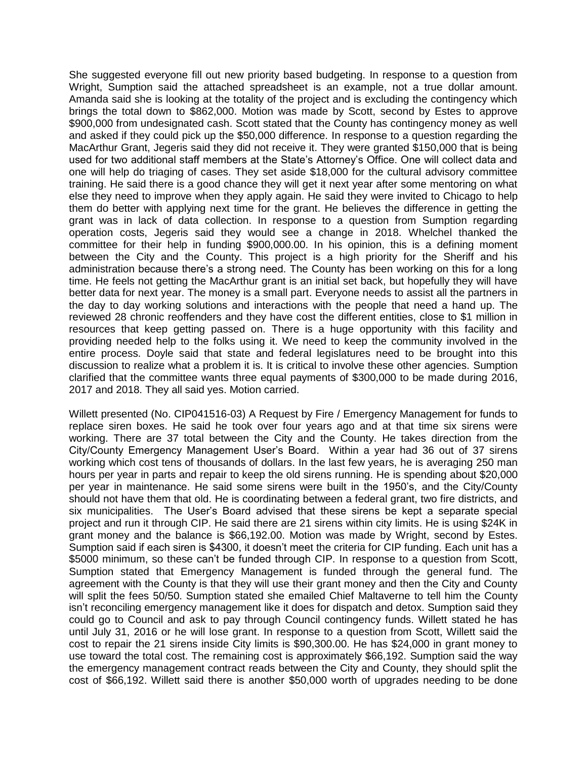She suggested everyone fill out new priority based budgeting. In response to a question from Wright, Sumption said the attached spreadsheet is an example, not a true dollar amount. Amanda said she is looking at the totality of the project and is excluding the contingency which brings the total down to \$862,000. Motion was made by Scott, second by Estes to approve \$900,000 from undesignated cash. Scott stated that the County has contingency money as well and asked if they could pick up the \$50,000 difference. In response to a question regarding the MacArthur Grant, Jegeris said they did not receive it. They were granted \$150,000 that is being used for two additional staff members at the State's Attorney's Office. One will collect data and one will help do triaging of cases. They set aside \$18,000 for the cultural advisory committee training. He said there is a good chance they will get it next year after some mentoring on what else they need to improve when they apply again. He said they were invited to Chicago to help them do better with applying next time for the grant. He believes the difference in getting the grant was in lack of data collection. In response to a question from Sumption regarding operation costs, Jegeris said they would see a change in 2018. Whelchel thanked the committee for their help in funding \$900,000.00. In his opinion, this is a defining moment between the City and the County. This project is a high priority for the Sheriff and his administration because there's a strong need. The County has been working on this for a long time. He feels not getting the MacArthur grant is an initial set back, but hopefully they will have better data for next year. The money is a small part. Everyone needs to assist all the partners in the day to day working solutions and interactions with the people that need a hand up. The reviewed 28 chronic reoffenders and they have cost the different entities, close to \$1 million in resources that keep getting passed on. There is a huge opportunity with this facility and providing needed help to the folks using it. We need to keep the community involved in the entire process. Doyle said that state and federal legislatures need to be brought into this discussion to realize what a problem it is. It is critical to involve these other agencies. Sumption clarified that the committee wants three equal payments of \$300,000 to be made during 2016, 2017 and 2018. They all said yes. Motion carried.

Willett presented (No. CIP041516-03) A Request by Fire / Emergency Management for funds to replace siren boxes. He said he took over four years ago and at that time six sirens were working. There are 37 total between the City and the County. He takes direction from the City/County Emergency Management User's Board. Within a year had 36 out of 37 sirens working which cost tens of thousands of dollars. In the last few years, he is averaging 250 man hours per year in parts and repair to keep the old sirens running. He is spending about \$20,000 per year in maintenance. He said some sirens were built in the 1950's, and the City/County should not have them that old. He is coordinating between a federal grant, two fire districts, and six municipalities. The User's Board advised that these sirens be kept a separate special project and run it through CIP. He said there are 21 sirens within city limits. He is using \$24K in grant money and the balance is \$66,192.00. Motion was made by Wright, second by Estes. Sumption said if each siren is \$4300, it doesn't meet the criteria for CIP funding. Each unit has a \$5000 minimum, so these can't be funded through CIP. In response to a question from Scott, Sumption stated that Emergency Management is funded through the general fund. The agreement with the County is that they will use their grant money and then the City and County will split the fees 50/50. Sumption stated she emailed Chief Maltaverne to tell him the County isn't reconciling emergency management like it does for dispatch and detox. Sumption said they could go to Council and ask to pay through Council contingency funds. Willett stated he has until July 31, 2016 or he will lose grant. In response to a question from Scott, Willett said the cost to repair the 21 sirens inside City limits is \$90,300.00. He has \$24,000 in grant money to use toward the total cost. The remaining cost is approximately \$66,192. Sumption said the way the emergency management contract reads between the City and County, they should split the cost of \$66,192. Willett said there is another \$50,000 worth of upgrades needing to be done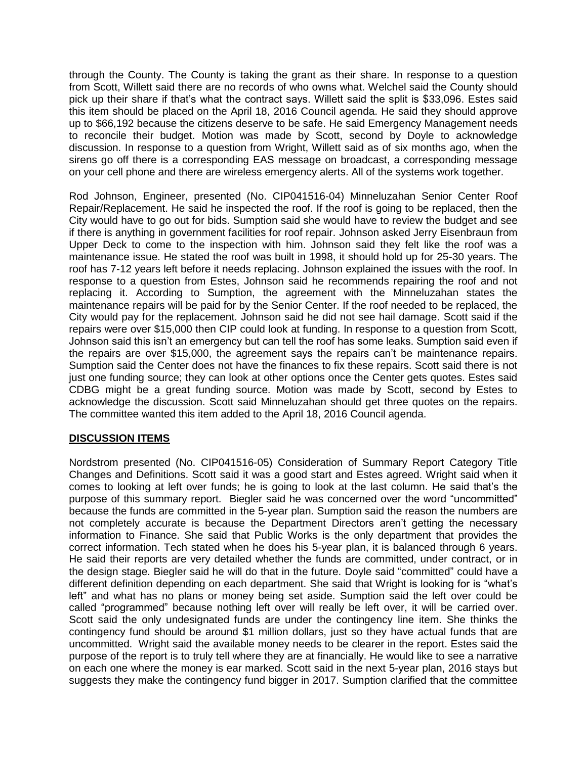through the County. The County is taking the grant as their share. In response to a question from Scott, Willett said there are no records of who owns what. Welchel said the County should pick up their share if that's what the contract says. Willett said the split is \$33,096. Estes said this item should be placed on the April 18, 2016 Council agenda. He said they should approve up to \$66,192 because the citizens deserve to be safe. He said Emergency Management needs to reconcile their budget. Motion was made by Scott, second by Doyle to acknowledge discussion. In response to a question from Wright, Willett said as of six months ago, when the sirens go off there is a corresponding EAS message on broadcast, a corresponding message on your cell phone and there are wireless emergency alerts. All of the systems work together.

Rod Johnson, Engineer, presented (No. CIP041516-04) Minneluzahan Senior Center Roof Repair/Replacement. He said he inspected the roof. If the roof is going to be replaced, then the City would have to go out for bids. Sumption said she would have to review the budget and see if there is anything in government facilities for roof repair. Johnson asked Jerry Eisenbraun from Upper Deck to come to the inspection with him. Johnson said they felt like the roof was a maintenance issue. He stated the roof was built in 1998, it should hold up for 25-30 years. The roof has 7-12 years left before it needs replacing. Johnson explained the issues with the roof. In response to a question from Estes, Johnson said he recommends repairing the roof and not replacing it. According to Sumption, the agreement with the Minneluzahan states the maintenance repairs will be paid for by the Senior Center. If the roof needed to be replaced, the City would pay for the replacement. Johnson said he did not see hail damage. Scott said if the repairs were over \$15,000 then CIP could look at funding. In response to a question from Scott, Johnson said this isn't an emergency but can tell the roof has some leaks. Sumption said even if the repairs are over \$15,000, the agreement says the repairs can't be maintenance repairs. Sumption said the Center does not have the finances to fix these repairs. Scott said there is not just one funding source; they can look at other options once the Center gets quotes. Estes said CDBG might be a great funding source. Motion was made by Scott, second by Estes to acknowledge the discussion. Scott said Minneluzahan should get three quotes on the repairs. The committee wanted this item added to the April 18, 2016 Council agenda.

# **DISCUSSION ITEMS**

Nordstrom presented (No. CIP041516-05) Consideration of Summary Report Category Title Changes and Definitions. Scott said it was a good start and Estes agreed. Wright said when it comes to looking at left over funds; he is going to look at the last column. He said that's the purpose of this summary report. Biegler said he was concerned over the word "uncommitted" because the funds are committed in the 5-year plan. Sumption said the reason the numbers are not completely accurate is because the Department Directors aren't getting the necessary information to Finance. She said that Public Works is the only department that provides the correct information. Tech stated when he does his 5-year plan, it is balanced through 6 years. He said their reports are very detailed whether the funds are committed, under contract, or in the design stage. Biegler said he will do that in the future. Doyle said "committed" could have a different definition depending on each department. She said that Wright is looking for is "what's left" and what has no plans or money being set aside. Sumption said the left over could be called "programmed" because nothing left over will really be left over, it will be carried over. Scott said the only undesignated funds are under the contingency line item. She thinks the contingency fund should be around \$1 million dollars, just so they have actual funds that are uncommitted. Wright said the available money needs to be clearer in the report. Estes said the purpose of the report is to truly tell where they are at financially. He would like to see a narrative on each one where the money is ear marked. Scott said in the next 5-year plan, 2016 stays but suggests they make the contingency fund bigger in 2017. Sumption clarified that the committee